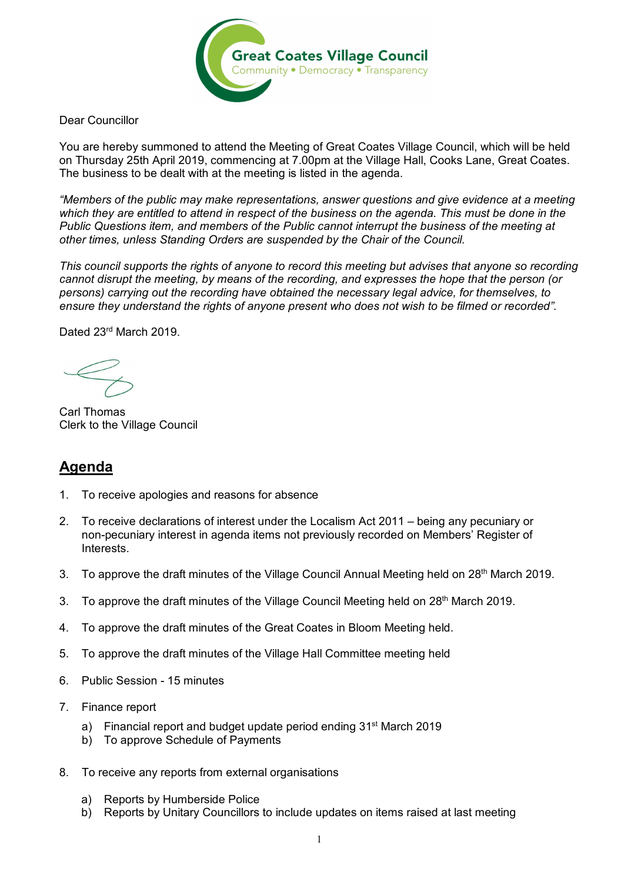

Dear Councillor

You are hereby summoned to attend the Meeting of Great Coates Village Council, which will be held on Thursday 25th April 2019, commencing at 7.00pm at the Village Hall, Cooks Lane, Great Coates. The business to be dealt with at the meeting is listed in the agenda.

*"Members of the public may make representations, answer questions and give evidence at a meeting which they are entitled to attend in respect of the business on the agenda. This must be done in the Public Questions item, and members of the Public cannot interrupt the business of the meeting at other times, unless Standing Orders are suspended by the Chair of the Council.* 

*This council supports the rights of anyone to record this meeting but advises that anyone so recording cannot disrupt the meeting, by means of the recording, and expresses the hope that the person (or persons) carrying out the recording have obtained the necessary legal advice, for themselves, to ensure they understand the rights of anyone present who does not wish to be filmed or recorded".*

Dated 23<sup>rd</sup> March 2019.

Carl Thomas Clerk to the Village Council

## **Agenda**

- 1. To receive apologies and reasons for absence
- 2. To receive declarations of interest under the Localism Act 2011 being any pecuniary or non-pecuniary interest in agenda items not previously recorded on Members' Register of Interests.
- 3. To approve the draft minutes of the Village Council Annual Meeting held on 28<sup>th</sup> March 2019.
- 3. To approve the draft minutes of the Village Council Meeting held on 28<sup>th</sup> March 2019.
- 4. To approve the draft minutes of the Great Coates in Bloom Meeting held.
- 5. To approve the draft minutes of the Village Hall Committee meeting held
- 6. Public Session 15 minutes
- 7. Finance report
	- a) Financial report and budget update period ending 31<sup>st</sup> March 2019
	- b) To approve Schedule of Payments
- 8. To receive any reports from external organisations
	- a) Reports by Humberside Police
	- b) Reports by Unitary Councillors to include updates on items raised at last meeting